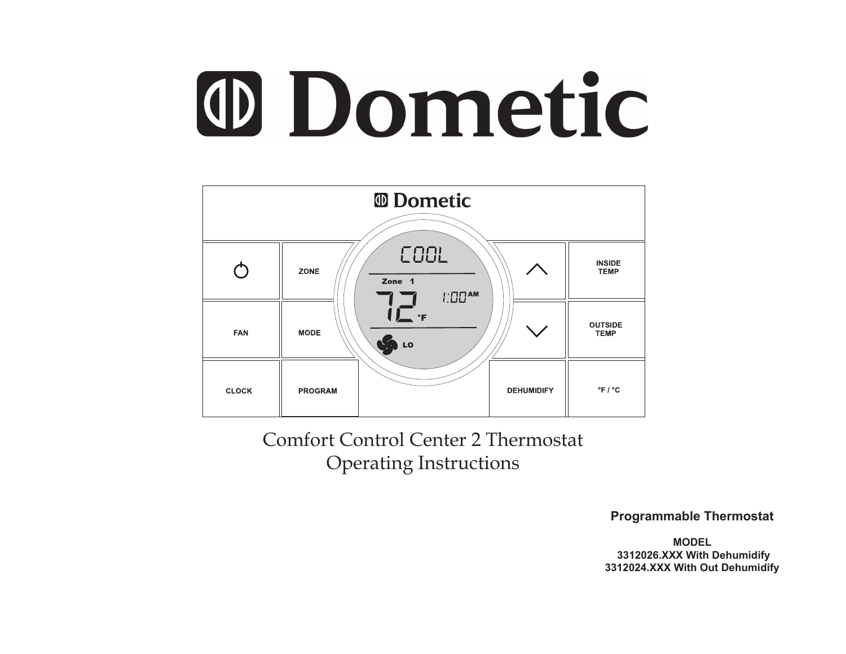# **O Dometic**



Comfort Control Center 2 Thermostat Operating Instructions

**Programmable Thermostat** 

**MODEL 3312026.XXX With Dehumidify 3312024.XXX With Out Dehumidify**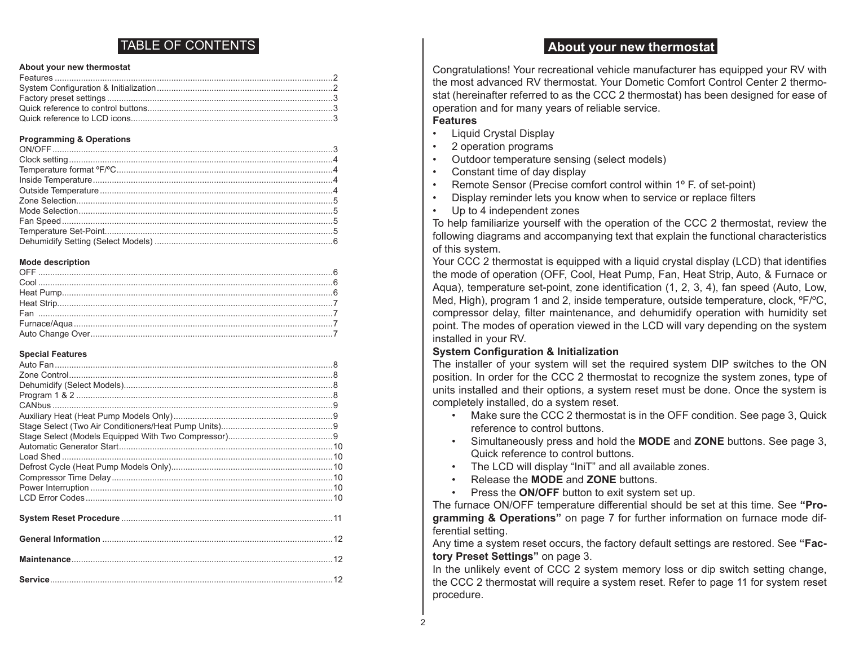# TABLE OF CONTENTS

#### **About your new thermostat**

#### **Programming & Operations**

#### **Mode description**

#### **Special Features**

# **About your new thermostat**

Congratulations! Your recreational vehicle manufacturer has equipped your RV with the most advanced RV thermostat. Your Dometic Comfort Control Center 2 thermostat (hereinafter referred to as the CCC 2 thermostat) has been designed for ease of operation and for many years of reliable service.

#### **Features**

- Liquid Crystal Display
- 2 operation programs
- Outdoor temperature sensing (select models)
- Constant time of day display
- Remote Sensor (Precise comfort control within 1° F. of set-point)
- Display reminder lets you know when to service or replace filters
- Up to 4 independent zones

To help familiarize yourself with the operation of the CCC 2 thermostat, review the following diagrams and accompanying text that explain the functional characteristics of this system.

Your CCC 2 thermostat is equipped with a liquid crystal display (LCD) that identifies the mode of operation (OFF, Cool, Heat Pump, Fan, Heat Strip, Auto, & Furnace or Aqua), temperature set-point, zone identification (1, 2, 3, 4), fan speed (Auto, Low, Med, High), program 1 and 2, inside temperature, outside temperature, clock,  ${}^{\circ}F/{}^{\circ}C$ , compressor delay, filter maintenance, and dehumidify operation with humidity set point. The modes of operation viewed in the LCD will vary depending on the system installed in your RV.

#### **System Configuration & Initialization**

The installer of your system will set the required system DIP switches to the ON position. In order for the CCC 2 thermostat to recognize the system zones, type of units installed and their options, a system reset must be done. Once the system is completely installed, do a system reset.

- Make sure the CCC 2 thermostat is in the OFF condition. See page 3, Quick reference to control buttons.
- Simultaneously press and hold the **MODE** and **ZONE** buttons. See page 3, Quick reference to control buttons.
- The LCD will display "IniT" and all available zones.
- Release the **MODE** and **ZONE** buttons.
- Press the **ON/OFF** button to exit system set up.

The furnace ON/OFF temperature differential should be set at this time. See **"Programming & Operations"** on page 7 for further information on furnace mode differential setting.

Any time a system reset occurs, the factory default settings are restored. See **"Factory Preset Settings"** on page 3.

In the unlikely event of CCC 2 system memory loss or dip switch setting change, the CCC 2 thermostat will require a system reset. Refer to page 11 for system reset procedure.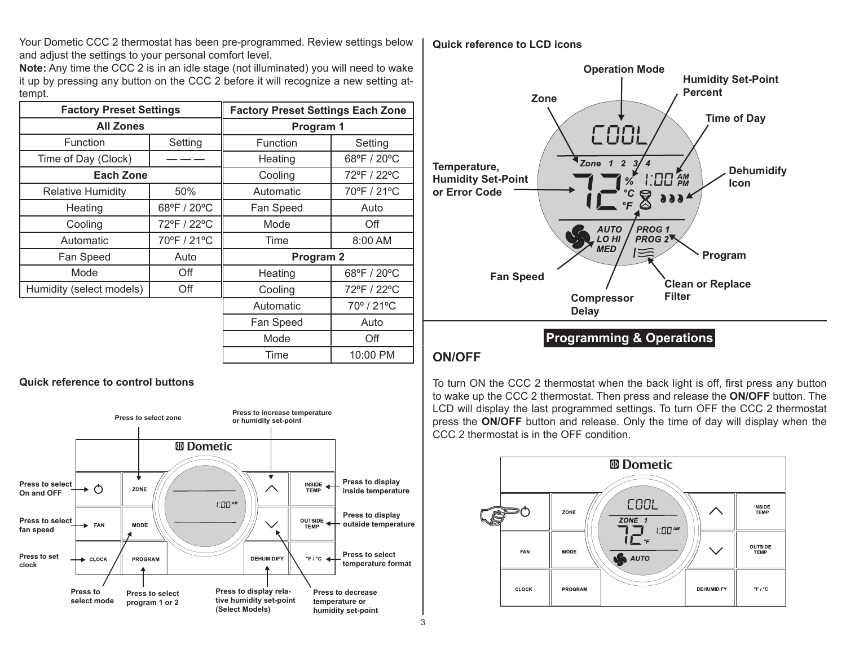Your Dometic CCC 2 thermostat has been pre-programmed. Review settings below and adjust the settings to your personal comfort level.

**Note:** Any time the CCC 2 is in an idle stage (not illuminated) you will need to wake it up by pressing any button on the CCC 2 before it will recognize a new setting attempt.

| <b>Factory Preset Settings</b> |             | <b>Factory Preset Settings Each Zone</b> |             |
|--------------------------------|-------------|------------------------------------------|-------------|
| <b>All Zones</b>               |             | Program 1                                |             |
| <b>Function</b>                | Setting     | Function                                 | Setting     |
| Time of Day (Clock)            |             | Heating                                  | 68°F / 20°C |
| <b>Each Zone</b>               |             | Cooling                                  | 72°F / 22°C |
| <b>Relative Humidity</b>       | 50%         | Automatic                                | 70°F / 21°C |
| Heating                        | 68°F / 20°C | Fan Speed                                | Auto        |
| Cooling                        | 72°F / 22°C | Mode                                     | Off         |
| Automatic                      | 70°F / 21°C | Time                                     | 8:00 AM     |
| Fan Speed                      | Auto        | Program 2                                |             |
| Mode                           | Off         | Heating                                  | 68°F / 20°C |
| Humidity (select models)       | Off         | Cooling                                  | 72°F / 22°C |
|                                |             | Automatic                                | 70°/21°C    |
|                                |             | Fan Speed                                | Auto        |
|                                |             | Mode                                     | Off         |
|                                |             | Time                                     | 10:00 PM    |

#### **Quick reference to control buttons**



#### **Quick reference to LCD icons**



**Programming & Operations**

# **ON/OFF**

To turn ON the CCC 2 thermostat when the back light is off, first press any button to wake up the CCC 2 thermostat. Then press and release the **ON/OFF** button. The LCD will display the last programmed settings. To turn OFF the CCC 2 thermostat press the **ON/OFF** button and release. Only the time of day will display when the CCC 2 thermostat is in the OFF condition.

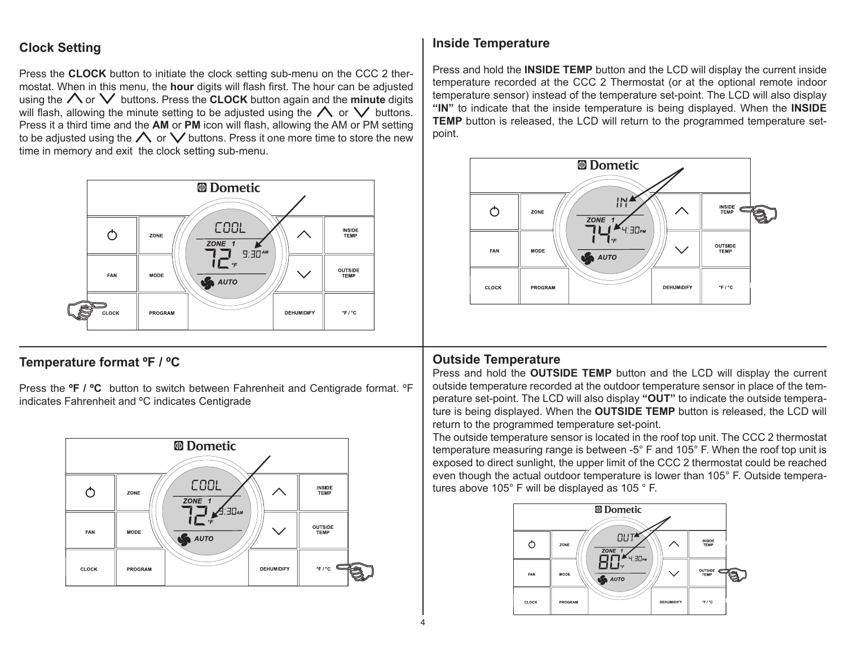# **Clock Setting**

Press the **CLOCK** button to initiate the clock setting sub-menu on the CCC 2 thermostat. When in this menu, the **hour** digits will flash first. The hour can be adjusted using the  $\bigwedge$  or  $\bigvee$  buttons. Press the **CLOCK** button again and the **minute** digits will flash, allowing the minute setting to be adjusted using the  $\bigwedge$  or  $\bigvee$  buttons. Press it a third time and the **AM** or **PM** icon will flash, allowing the AM or PM setting to be adjusted using the  $\bigwedge$  or  $\bigvee$  buttons. Press it one more time to store the new time in memory and exit the clock setting sub-menu.



# **Temperature format ºF / ºC**

Press the **ºF / ºC** button to switch between Fahrenheit and Centigrade format. ºF indicates Fahrenheit and ºC indicates Centigrade



# **Inside Temperature**

Press and hold the **INSIDE TEMP** button and the LCD will display the current inside temperature recorded at the CCC 2 Thermostat (or at the optional remote indoor temperature sensor) instead of the temperature set-point. The LCD will also display **"IN"** to indicate that the inside temperature is being displayed. When the **INSIDE TEMP** button is released, the LCD will return to the programmed temperature setpoint.



# **Outside Temperature**

Press and hold the **OUTSIDE TEMP** button and the LCD will display the current outside temperature recorded at the outdoor temperature sensor in place of the temperature set-point. The LCD will also display **"OUT"** to indicate the outside temperature is being displayed. When the **OUTSIDE TEMP** button is released, the LCD will return to the programmed temperature set-point.

The outside temperature sensor is located in the roof top unit. The CCC 2 thermostat temperature measuring range is between -5° F and 105° F. When the roof top unit is exposed to direct sunlight, the upper limit of the CCC 2 thermostat could be reached even though the actual outdoor temperature is lower than 105° F. Outside temperatures above 105° F will be displayed as 105 ° F.

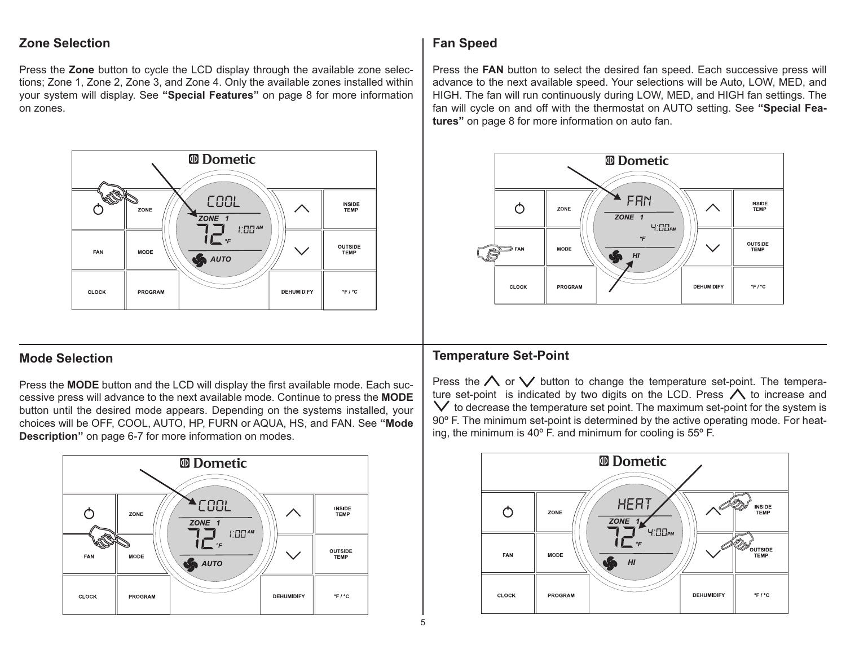# **Zone Selection**

Press the **Zone** button to cycle the LCD display through the available zone selections; Zone 1, Zone 2, Zone 3, and Zone 4. Only the available zones installed within your system will display. See **"Special Features"** on page 8 for more information on zones.



# **Mode Selection**

Press the **MODE** button and the LCD will display the first available mode. Each successive press will advance to the next available mode. Continue to press the **MODE** button until the desired mode appears. Depending on the systems installed, your choices will be OFF, COOL, AUTO, HP, FURN or AQUA, HS, and FAN. See **"Mode Description"** on page 6-7 for more information on modes.



# **Fan Speed**

Press the **FAN** button to select the desired fan speed. Each successive press will advance to the next available speed. Your selections will be Auto, LOW, MED, and HIGH. The fan will run continuously during LOW, MED, and HIGH fan settings. The fan will cycle on and off with the thermostat on AUTO setting. See **"Special Features"** on page 8 for more information on auto fan.



# **Temperature Set-Point**

Press the  $\wedge$  or  $\vee$  button to change the temperature set-point. The temperature set-point is indicated by two digits on the LCD. Press  $\bigwedge$  to increase and  $\vee$  to decrease the temperature set point. The maximum set-point for the system is 90° F. The minimum set-point is determined by the active operating mode. For heating, the minimum is 40º F. and minimum for cooling is 55º F.

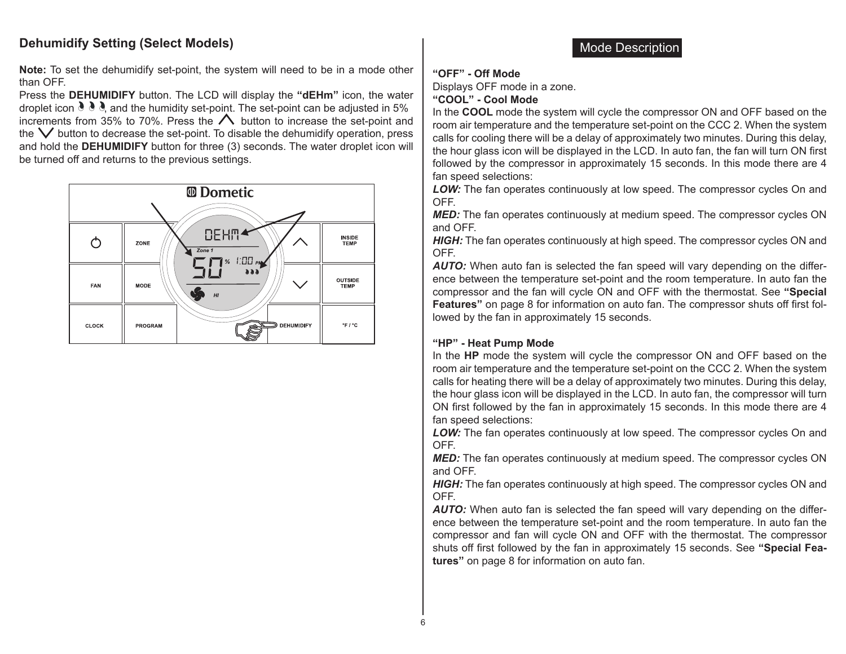# **Dehumidify Setting (Select Models)**

**Note:** To set the dehumidify set-point, the system will need to be in a mode other than OFF.

Press the **DEHUMIDIFY** button. The LCD will display the **"dEHm"** icon, the water droplet icon  $\partial \partial$ , and the humidity set-point. The set-point can be adjusted in 5% increments from 35% to 70%. Press the  $\triangle$  button to increase the set-point and the  $\vee$  button to decrease the set-point. To disable the dehumidify operation, press and hold the **DEHUMIDIFY** button for three (3) seconds. The water droplet icon will be turned off and returns to the previous settings.



#### **"OFF" - Off Mode**

Displays OFF mode in a zone.

#### **"COOL" - Cool Mode**

In the **COOL** mode the system will cycle the compressor ON and OFF based on the room air temperature and the temperature set-point on the CCC 2. When the system calls for cooling there will be a delay of approximately two minutes. During this delay, the hour glass icon will be displayed in the LCD. In auto fan, the fan will turn ON first followed by the compressor in approximately 15 seconds. In this mode there are 4 fan speed selections:

*LOW:* The fan operates continuously at low speed. The compressor cycles On and OFF.

*MED:* The fan operates continuously at medium speed. The compressor cycles ON and OFF.

*HIGH:* The fan operates continuously at high speed. The compressor cycles ON and OFF.

*AUTO:* When auto fan is selected the fan speed will vary depending on the difference between the temperature set-point and the room temperature. In auto fan the compressor and the fan will cycle ON and OFF with the thermostat. See **"Special Features"** on page 8 for information on auto fan. The compressor shuts off first followed by the fan in approximately 15 seconds.

#### **"HP" - Heat Pump Mode**

In the **HP** mode the system will cycle the compressor ON and OFF based on the room air temperature and the temperature set-point on the CCC 2. When the system calls for heating there will be a delay of approximately two minutes. During this delay, the hour glass icon will be displayed in the LCD. In auto fan, the compressor will turn ON first followed by the fan in approximately 15 seconds. In this mode there are 4 fan speed selections:

*LOW:* The fan operates continuously at low speed. The compressor cycles On and OFF.

*MED:* The fan operates continuously at medium speed. The compressor cycles ON and OFF.

*HIGH:* The fan operates continuously at high speed. The compressor cycles ON and OFF.

*AUTO:* When auto fan is selected the fan speed will vary depending on the difference between the temperature set-point and the room temperature. In auto fan the compressor and fan will cycle ON and OFF with the thermostat. The compressor shuts off first followed by the fan in approximately 15 seconds. See **"Special Features"** on page 8 for information on auto fan.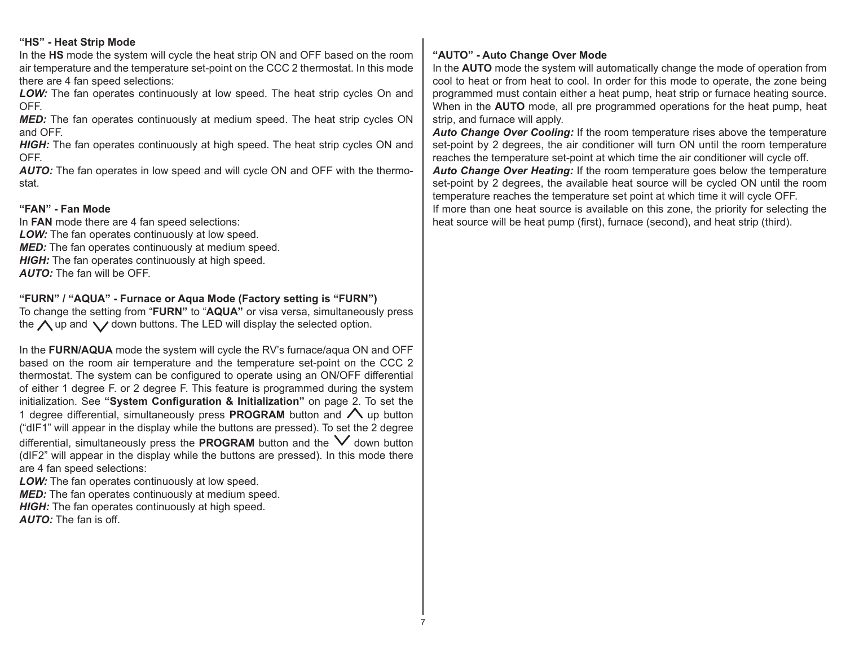#### **"HS" - Heat Strip Mode**

In the **HS** mode the system will cycle the heat strip ON and OFF based on the room air temperature and the temperature set-point on the CCC 2 thermostat. In this mode there are 4 fan speed selections:

*LOW:* The fan operates continuously at low speed. The heat strip cycles On and OFF.

*MED:* The fan operates continuously at medium speed. The heat strip cycles ON and OFF.

*HIGH:* The fan operates continuously at high speed. The heat strip cycles ON and OFF.

*AUTO:* The fan operates in low speed and will cycle ON and OFF with the thermostat.

#### **"FAN" - Fan Mode**

In **FAN** mode there are 4 fan speed selections: *LOW:* The fan operates continuously at low speed. **MED:** The fan operates continuously at medium speed. **HIGH:** The fan operates continuously at high speed.

*AUTO:* The fan will be OFF.

#### **"FURN" / "AQUA" - Furnace or Aqua Mode (Factory setting is "FURN")**

To change the setting from "**FURN"** to "**AQUA"** or visa versa, simultaneously press the  $\bigwedge$  up and  $\bigvee$  down buttons. The LED will display the selected option.

In the **FURN/AQUA** mode the system will cycle the RV's furnace/aqua ON and OFF based on the room air temperature and the temperature set-point on the CCC 2 thermostat. The system can be configured to operate using an ON/OFF differential of either 1 degree F. or 2 degree F. This feature is programmed during the system initialization. See **"System Configuration & Initialization"** on page 2. To set the 1 degree differential, simultaneously press **PROGRAM** button and  $\bigwedge$  up button ("dIF1" will appear in the display while the buttons are pressed). To set the 2 degree differential, simultaneously press the **PROGRAM** button and the  $\vee$  down button (dIF2" will appear in the display while the buttons are pressed). In this mode there are 4 fan speed selections:

**LOW:** The fan operates continuously at low speed.

**MED:** The fan operates continuously at medium speed.

*HIGH:* The fan operates continuously at high speed.

*AUTO:* The fan is off.

#### **"AUTO" - Auto Change Over Mode**

In the **AUTO** mode the system will automatically change the mode of operation from cool to heat or from heat to cool. In order for this mode to operate, the zone being programmed must contain either a heat pump, heat strip or furnace heating source. When in the **AUTO** mode, all pre programmed operations for the heat pump, heat strip, and furnace will apply.

*Auto Change Over Cooling:* If the room temperature rises above the temperature set-point by 2 degrees, the air conditioner will turn ON until the room temperature reaches the temperature set-point at which time the air conditioner will cycle off. *Auto Change Over Heating:* If the room temperature goes below the temperature set-point by 2 degrees, the available heat source will be cycled ON until the room temperature reaches the temperature set point at which time it will cycle OFF. If more than one heat source is available on this zone, the priority for selecting the heat source will be heat pump (first), furnace (second), and heat strip (third).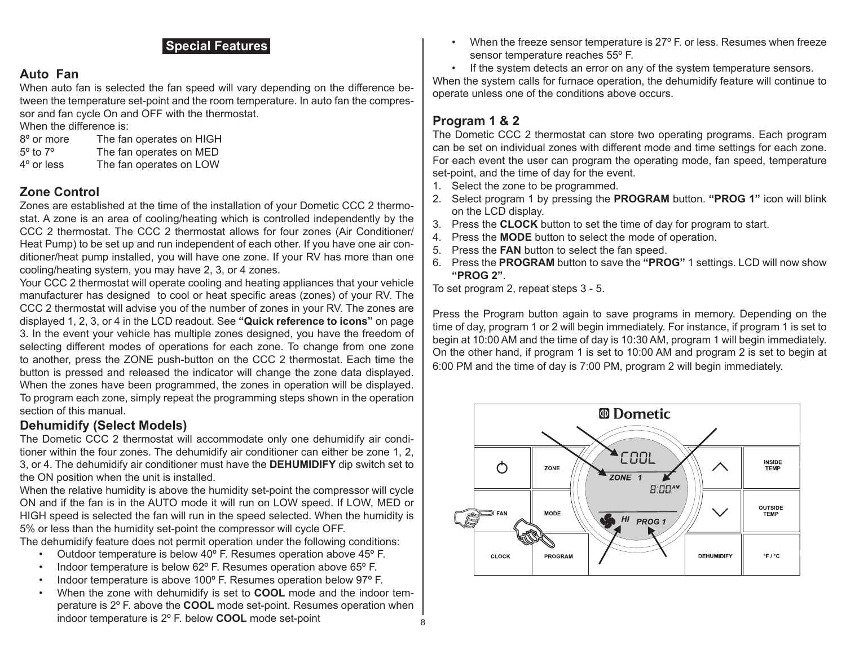# **Special Features**

# **Auto Fan**

When auto fan is selected the fan speed will vary depending on the difference between the temperature set-point and the room temperature. In auto fan the compressor and fan cycle On and OFF with the thermostat.

When the difference is:

| 8° or more             | The fan operates on HIGH |
|------------------------|--------------------------|
| $5^\circ$ to $7^\circ$ | The fan operates on MED  |
| 4° or less             | The fan operates on LOW  |

# **Zone Control**

Zones are established at the time of the installation of your Dometic CCC 2 thermostat. A zone is an area of cooling/heating which is controlled independently by the CCC 2 thermostat. The CCC 2 thermostat allows for four zones (Air Conditioner/ Heat Pump) to be set up and run independent of each other. If you have one air conditioner/heat pump installed, you will have one zone. If your RV has more than one cooling/heating system, you may have 2, 3, or 4 zones.

Your CCC 2 thermostat will operate cooling and heating appliances that your vehicle manufacturer has designed to cool or heat specific areas (zones) of your RV. The CCC 2 thermostat will advise you of the number of zones in your RV. The zones are displayed 1, 2, 3, or 4 in the LCD readout. See **"Quick reference to icons"** on page 3. In the event your vehicle has multiple zones designed, you have the freedom of selecting different modes of operations for each zone. To change from one zone to another, press the ZONE push-button on the CCC 2 thermostat. Each time the button is pressed and released the indicator will change the zone data displayed. When the zones have been programmed, the zones in operation will be displayed. To program each zone, simply repeat the programming steps shown in the operation section of this manual.

# **Dehumidify (Select Models)**

The Dometic CCC 2 thermostat will accommodate only one dehumidify air conditioner within the four zones. The dehumidify air conditioner can either be zone 1, 2, 3, or 4. The dehumidify air conditioner must have the **DEHUMIDIFY** dip switch set to the ON position when the unit is installed.

When the relative humidity is above the humidity set-point the compressor will cycle ON and if the fan is in the AUTO mode it will run on LOW speed. If LOW, MED or HIGH speed is selected the fan will run in the speed selected. When the humidity is 5% or less than the humidity set-point the compressor will cycle OFF.

The dehumidify feature does not permit operation under the following conditions:

- Outdoor temperature is below 40º F. Resumes operation above 45º F.
- Indoor temperature is below 62° F. Resumes operation above 65° F.
- Indoor temperature is above 100º F. Resumes operation below 97º F.
- When the zone with dehumidify is set to **COOL** mode and the indoor temperature is 2º F. above the **COOL** mode set-point. Resumes operation when indoor temperature is 2º F. below **COOL** mode set-point

When the freeze sensor temperature is 27° F. or less. Resumes when freeze sensor temperature reaches 55º F.

• If the system detects an error on any of the system temperature sensors. When the system calls for furnace operation, the dehumidify feature will continue to operate unless one of the conditions above occurs.

# **Program 1 & 2**

The Dometic CCC 2 thermostat can store two operating programs. Each program can be set on individual zones with different mode and time settings for each zone. For each event the user can program the operating mode, fan speed, temperature set-point, and the time of day for the event.

- 1. Select the zone to be programmed.
- 2. Select program 1 by pressing the **PROGRAM** button. **"PROG 1"** icon will blink on the LCD display.
- 3. Press the **CLOCK** button to set the time of day for program to start.
- 4. Press the **MODE** button to select the mode of operation.
- 5. Press the **FAN** button to select the fan speed.
- 6. Press the **PROGRAM** button to save the **"PROG"** 1 settings. LCD will now show **"PROG 2"**.

To set program 2, repeat steps 3 - 5.

Press the Program button again to save programs in memory. Depending on the time of day, program 1 or 2 will begin immediately. For instance, if program 1 is set to begin at 10:00 AM and the time of day is 10:30 AM, program 1 will begin immediately. On the other hand, if program 1 is set to 10:00 AM and program 2 is set to begin at 6:00 PM and the time of day is 7:00 PM, program 2 will begin immediately.

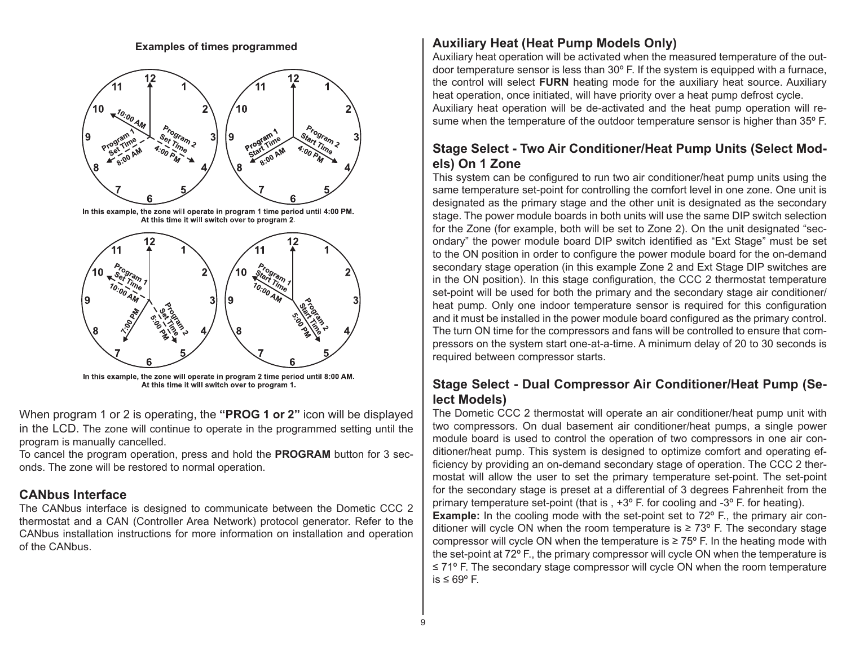**Examples of times programmed**



In this example, the zone will operate in program 1 time period until 4:00 PM. At this time it will switch over to program 2.



In this example, the zone will operate in program 2 time period until 8:00 AM. At this time it will switch over to program 1.

When program 1 or 2 is operating, the **"PROG 1 or 2"** icon will be displayed in the LCD. The zone will continue to operate in the programmed setting until the program is manually cancelled.

To cancel the program operation, press and hold the **PROGRAM** button for 3 seconds. The zone will be restored to normal operation.

# **CANbus Interface**

The CANbus interface is designed to communicate between the Dometic CCC 2 thermostat and a CAN (Controller Area Network) protocol generator. Refer to the CANbus installation instructions for more information on installation and operation of the CANbus.

# **Auxiliary Heat (Heat Pump Models Only)**

Auxiliary heat operation will be activated when the measured temperature of the outdoor temperature sensor is less than 30º F. If the system is equipped with a furnace, the control will select **FURN** heating mode for the auxiliary heat source. Auxiliary heat operation, once initiated, will have priority over a heat pump defrost cycle. Auxiliary heat operation will be de-activated and the heat pump operation will resume when the temperature of the outdoor temperature sensor is higher than 35º F.

# **Stage Select - Two Air Conditioner/Heat Pump Units (Select Models) On 1 Zone**

This system can be configured to run two air conditioner/heat pump units using the same temperature set-point for controlling the comfort level in one zone. One unit is designated as the primary stage and the other unit is designated as the secondary stage. The power module boards in both units will use the same DIP switch selection for the Zone (for example, both will be set to Zone 2). On the unit designated "secondary" the power module board DIP switch identified as "Ext Stage" must be set to the ON position in order to configure the power module board for the on-demand secondary stage operation (in this example Zone 2 and Ext Stage DIP switches are in the ON position). In this stage configuration, the CCC 2 thermostat temperature set-point will be used for both the primary and the secondary stage air conditioner/ heat pump. Only one indoor temperature sensor is required for this configuration and it must be installed in the power module board configured as the primary control. The turn ON time for the compressors and fans will be controlled to ensure that compressors on the system start one-at-a-time. A minimum delay of 20 to 30 seconds is required between compressor starts.

# **Stage Select - Dual Compressor Air Conditioner/Heat Pump (Select Models)**

The Dometic CCC 2 thermostat will operate an air conditioner/heat pump unit with two compressors. On dual basement air conditioner/heat pumps, a single power module board is used to control the operation of two compressors in one air conditioner/heat pump. This system is designed to optimize comfort and operating efficiency by providing an on-demand secondary stage of operation. The CCC 2 thermostat will allow the user to set the primary temperature set-point. The set-point for the secondary stage is preset at a differential of 3 degrees Fahrenheit from the primary temperature set-point (that is , +3º F. for cooling and -3º F. for heating). **Example:** In the cooling mode with the set-point set to 72<sup>o</sup> F., the primary air conditioner will cycle ON when the room temperature is  $\geq 73^{\circ}$  F. The secondary stage compressor will cycle ON when the temperature is  $\geq 75^{\circ}$  F. In the heating mode with the set-point at 72º F., the primary compressor will cycle ON when the temperature is ≤ 71º F. The secondary stage compressor will cycle ON when the room temperature is ≤ 69º F.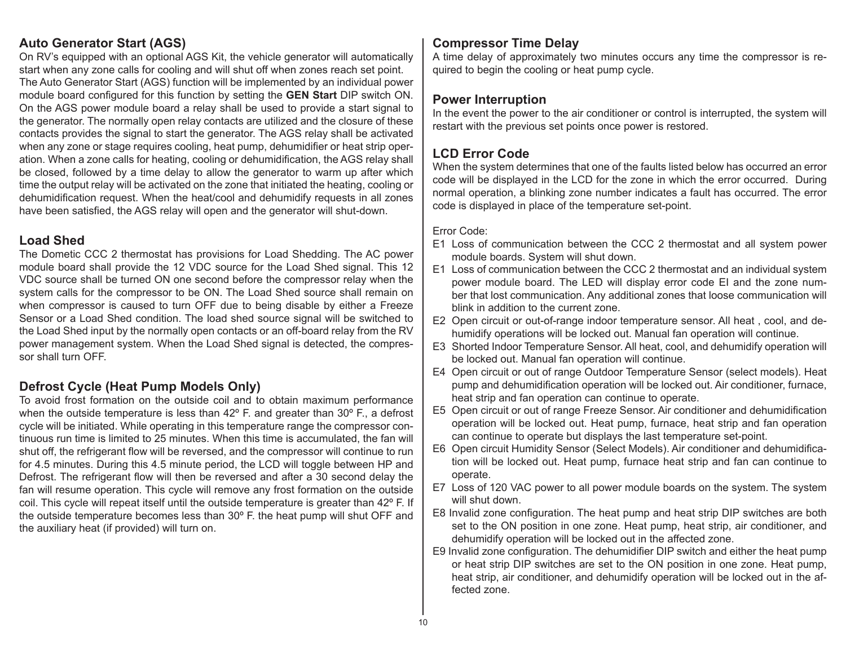# **Auto Generator Start (AGS)**

On RV's equipped with an optional AGS Kit, the vehicle generator will automatically start when any zone calls for cooling and will shut off when zones reach set point. The Auto Generator Start (AGS) function will be implemented by an individual power module board configured for this function by setting the **GEN Start** DIP switch ON. On the AGS power module board a relay shall be used to provide a start signal to the generator. The normally open relay contacts are utilized and the closure of these contacts provides the signal to start the generator. The AGS relay shall be activated when any zone or stage requires cooling, heat pump, dehumidifier or heat strip operation. When a zone calls for heating, cooling or dehumidification, the AGS relay shall be closed, followed by a time delay to allow the generator to warm up after which time the output relay will be activated on the zone that initiated the heating, cooling or dehumidification request. When the heat/cool and dehumidify requests in all zones have been satisfied, the AGS relay will open and the generator will shut-down.

# **Load Shed**

The Dometic CCC 2 thermostat has provisions for Load Shedding. The AC power module board shall provide the 12 VDC source for the Load Shed signal. This 12 VDC source shall be turned ON one second before the compressor relay when the system calls for the compressor to be ON. The Load Shed source shall remain on when compressor is caused to turn OFF due to being disable by either a Freeze Sensor or a Load Shed condition. The load shed source signal will be switched to the Load Shed input by the normally open contacts or an off-board relay from the RV power management system. When the Load Shed signal is detected, the compressor shall turn OFF.

# **Defrost Cycle (Heat Pump Models Only)**

To avoid frost formation on the outside coil and to obtain maximum performance when the outside temperature is less than  $42^{\circ}$  F. and greater than  $30^{\circ}$  F., a defrost cycle will be initiated. While operating in this temperature range the compressor continuous run time is limited to 25 minutes. When this time is accumulated, the fan will shut off, the refrigerant flow will be reversed, and the compressor will continue to run for 4.5 minutes. During this 4.5 minute period, the LCD will toggle between HP and Defrost. The refrigerant flow will then be reversed and after a 30 second delay the fan will resume operation. This cycle will remove any frost formation on the outside coil. This cycle will repeat itself until the outside temperature is greater than 42º F. If the outside temperature becomes less than 30º F. the heat pump will shut OFF and the auxiliary heat (if provided) will turn on.

# **Compressor Time Delay**

A time delay of approximately two minutes occurs any time the compressor is required to begin the cooling or heat pump cycle.

# **Power Interruption**

In the event the power to the air conditioner or control is interrupted, the system will restart with the previous set points once power is restored.

# **LCD Error Code**

When the system determines that one of the faults listed below has occurred an error code will be displayed in the LCD for the zone in which the error occurred. During normal operation, a blinking zone number indicates a fault has occurred. The error code is displayed in place of the temperature set-point.

### Error Code:

- E1 Loss of communication between the CCC 2 thermostat and all system power module boards. System will shut down.
- E1 Loss of communication between the CCC 2 thermostat and an individual system power module board. The LED will display error code EI and the zone number that lost communication. Any additional zones that loose communication will blink in addition to the current zone.
- E2 Open circuit or out-of-range indoor temperature sensor. All heat , cool, and dehumidify operations will be locked out. Manual fan operation will continue.
- E3 Shorted Indoor Temperature Sensor. All heat, cool, and dehumidify operation will be locked out. Manual fan operation will continue.
- E4 Open circuit or out of range Outdoor Temperature Sensor (select models). Heat pump and dehumidification operation will be locked out. Air conditioner, furnace, heat strip and fan operation can continue to operate.
- E5 Open circuit or out of range Freeze Sensor. Air conditioner and dehumidification operation will be locked out. Heat pump, furnace, heat strip and fan operation can continue to operate but displays the last temperature set-point.
- E6 Open circuit Humidity Sensor (Select Models). Air conditioner and dehumidification will be locked out. Heat pump, furnace heat strip and fan can continue to operate.
- E7 Loss of 120 VAC power to all power module boards on the system. The system will shut down.
- E8 Invalid zone configuration. The heat pump and heat strip DIP switches are both set to the ON position in one zone. Heat pump, heat strip, air conditioner, and dehumidify operation will be locked out in the affected zone.
- E9 Invalid zone configuration. The dehumidifier DIP switch and either the heat pump or heat strip DIP switches are set to the ON position in one zone. Heat pump, heat strip, air conditioner, and dehumidify operation will be locked out in the affected zone.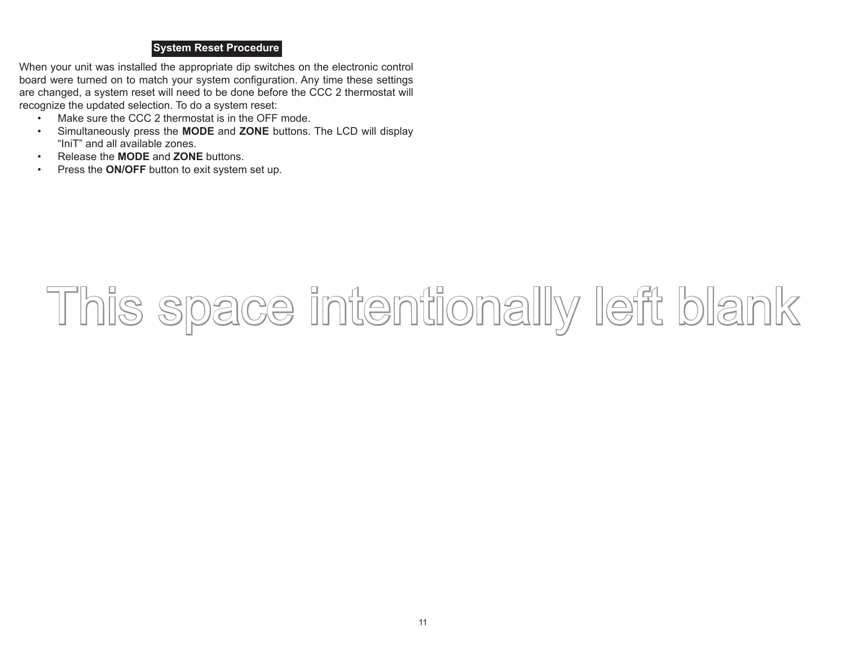#### **System Reset Procedure**

When your unit was installed the appropriate dip switches on the electronic control board were turned on to match your system configuration. Any time these settings are changed, a system reset will need to be done before the CCC 2 thermostat will recognize the updated selection. To do a system reset:

- Make sure the CCC 2 thermostat is in the OFF mode.
- Simultaneously press the **MODE** and **ZONE** buttons. The LCD will display "IniT" and all available zones.
- Release the **MODE** and **ZONE** buttons.
- Press the **ON/OFF** button to exit system set up.

# This space intentionally left blank